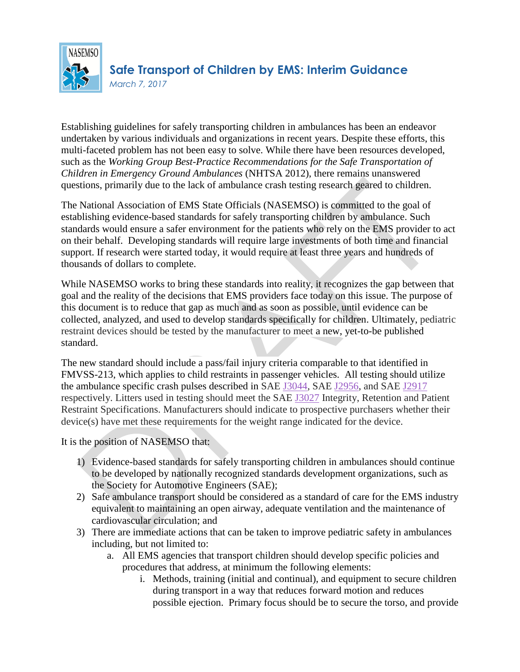

Establishing guidelines for safely transporting children in ambulances has been an endeavor undertaken by various individuals and organizations in recent years. Despite these efforts, this multi-faceted problem has not been easy to solve. While there have been resources developed, such as the *Working Group Best-Practice Recommendations for the Safe Transportation of Children in Emergency Ground Ambulances* (NHTSA 2012), there remains unanswered questions, primarily due to the lack of ambulance crash testing research geared to children.

The National Association of EMS State Officials (NASEMSO) is committed to the goal of establishing evidence-based standards for safely transporting children by ambulance. Such standards would ensure a safer environment for the patients who rely on the EMS provider to act on their behalf. Developing standards will require large investments of both time and financial support. If research were started today, it would require at least three years and hundreds of thousands of dollars to complete.

While NASEMSO works to bring these standards into reality, it recognizes the gap between that goal and the reality of the decisions that EMS providers face today on this issue. The purpose of this document is to reduce that gap as much and as soon as possible, until evidence can be collected, analyzed, and used to develop standards specifically for children. Ultimately, pediatric restraint devices should be tested by the manufacturer to meet a new, yet-to-be published standard.

The new standard should include a pass/fail injury criteria comparable to that identified in FMVSS-213, which applies to child restraints in passenger vehicles. All testing should utilize the ambulance specific crash pulses described in SAE [J3044,](http://standards.sae.org/j3044_201406/) SAE [J2956,](http://standards.sae.org/j2956_201106/) and SAE [J2917](http://standards.sae.org/j2917_201005/) respectively. Litters used in testing should meet the SAE [J3027](http://standards.sae.org/j3027_201407/) Integrity, Retention and Patient Restraint Specifications. Manufacturers should indicate to prospective purchasers whether their device(s) have met these requirements for the weight range indicated for the device.

It is the position of NASEMSO that:

- 1) Evidence-based standards for safely transporting children in ambulances should continue to be developed by nationally recognized standards development organizations, such as the Society for Automotive Engineers (SAE);
- 2) Safe ambulance transport should be considered as a standard of care for the EMS industry equivalent to maintaining an open airway, adequate ventilation and the maintenance of cardiovascular circulation; and
- 3) There are immediate actions that can be taken to improve pediatric safety in ambulances including, but not limited to:
	- a. All EMS agencies that transport children should develop specific policies and procedures that address, at minimum the following elements:
		- i. Methods, training (initial and continual), and equipment to secure children during transport in a way that reduces forward motion and reduces possible ejection. Primary focus should be to secure the torso, and provide